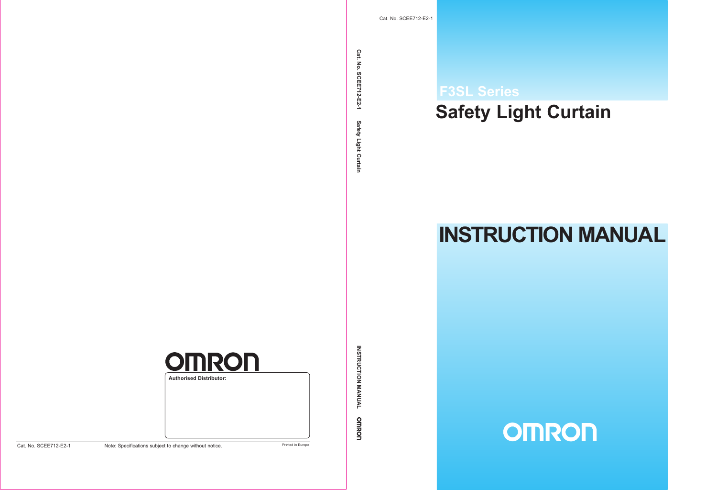# **Safety Light Curtain F3SL Series**

# **INSTRUCTION MANUAL**

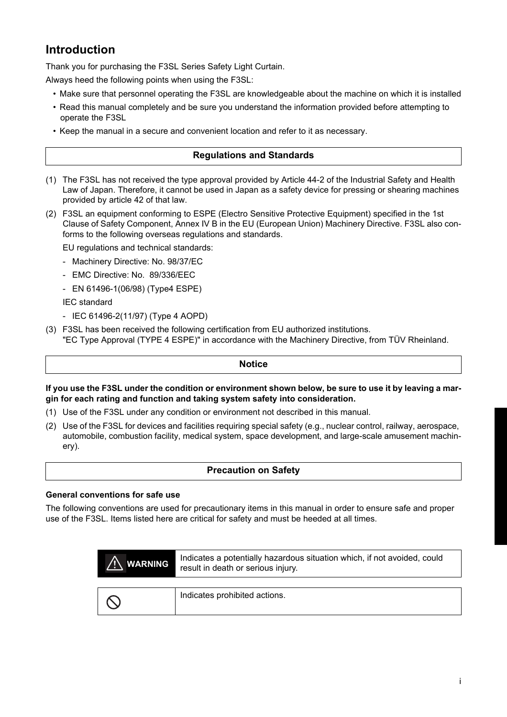## **Introduction**

Thank you for purchasing the F3SL Series Safety Light Curtain.

Always heed the following points when using the F3SL:

- Make sure that personnel operating the F3SL are knowledgeable about the machine on which it is installed
- Read this manual completely and be sure you understand the information provided before attempting to operate the F3SL
- Keep the manual in a secure and convenient location and refer to it as necessary.

#### **Regulations and Standards**

- (1) The F3SL has not received the type approval provided by Article 44-2 of the Industrial Safety and Health Law of Japan. Therefore, it cannot be used in Japan as a safety device for pressing or shearing machines provided by article 42 of that law.
- (2) F3SL an equipment conforming to ESPE (Electro Sensitive Protective Equipment) specified in the 1st Clause of Safety Component, Annex IV B in the EU (European Union) Machinery Directive. F3SL also conforms to the following overseas regulations and standards.

EU regulations and technical standards:

- Machinery Directive: No. 98/37/EC
- EMC Directive: No. 89/336/EEC
- EN 61496-1(06/98) (Type4 ESPE)

IEC standard

- IEC 61496-2(11/97) (Type 4 AOPD)
- (3) F3SL has been received the following certification from EU authorized institutions. "EC Type Approval (TYPE 4 ESPE)" in accordance with the Machinery Directive, from TÜV Rheinland.

#### **Notice**

#### **If you use the F3SL under the condition or environment shown below, be sure to use it by leaving a margin for each rating and function and taking system safety into consideration.**

- (1) Use of the F3SL under any condition or environment not described in this manual.
- (2) Use of the F3SL for devices and facilities requiring special safety (e.g., nuclear control, railway, aerospace, automobile, combustion facility, medical system, space development, and large-scale amusement machinery).

#### **Precaution on Safety**

#### **General conventions for safe use**

The following conventions are used for precautionary items in this manual in order to ensure safe and proper use of the F3SL. Items listed here are critical for safety and must be heeded at all times.

| <b>WARNING</b> | Indicates a potentially hazardous situation which, if not avoided, could<br>result in death or serious injury. |
|----------------|----------------------------------------------------------------------------------------------------------------|
|                | Indicates prohibited actions.                                                                                  |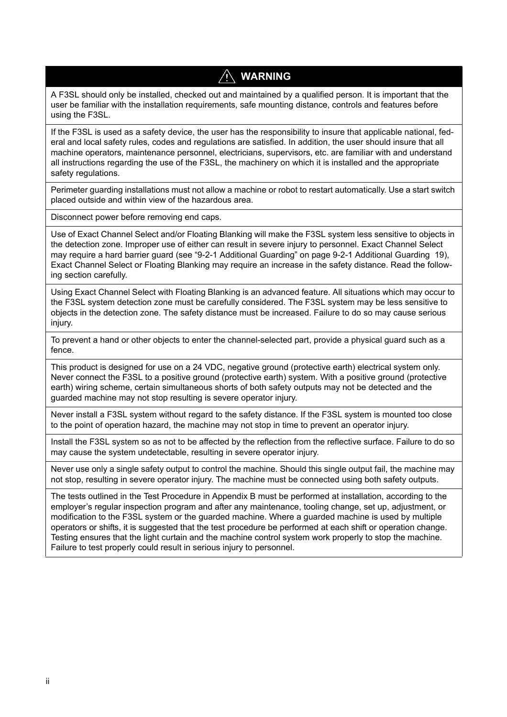## **WARNING**

A F3SL should only be installed, checked out and maintained by a qualified person. It is important that the user be familiar with the installation requirements, safe mounting distance, controls and features before using the F3SL.

If the F3SL is used as a safety device, the user has the responsibility to insure that applicable national, federal and local safety rules, codes and regulations are satisfied. In addition, the user should insure that all machine operators, maintenance personnel, electricians, supervisors, etc. are familiar with and understand all instructions regarding the use of the F3SL, the machinery on which it is installed and the appropriate safety regulations.

Perimeter guarding installations must not allow a machine or robot to restart automatically. Use a start switch placed outside and within view of the hazardous area.

Disconnect power before removing end caps.

Use of Exact Channel Select and/or Floating Blanking will make the F3SL system less sensitive to objects in the detection zone. Improper use of either can result in severe injury to personnel. Exact Channel Select may require a hard barrier guard (see "[9-2-1 Additional Guarding"](#page-24-0) on page [9-2-1 Additional Guarding 19](#page-24-0)), Exact Channel Select or Floating Blanking may require an increase in the safety distance. Read the following section carefully.

Using Exact Channel Select with Floating Blanking is an advanced feature. All situations which may occur to the F3SL system detection zone must be carefully considered. The F3SL system may be less sensitive to objects in the detection zone. The safety distance must be increased. Failure to do so may cause serious injury.

To prevent a hand or other objects to enter the channel-selected part, provide a physical guard such as a fence.

This product is designed for use on a 24 VDC, negative ground (protective earth) electrical system only. Never connect the F3SL to a positive ground (protective earth) system. With a positive ground (protective earth) wiring scheme, certain simultaneous shorts of both safety outputs may not be detected and the guarded machine may not stop resulting is severe operator injury.

Never install a F3SL system without regard to the safety distance. If the F3SL system is mounted too close to the point of operation hazard, the machine may not stop in time to prevent an operator injury.

Install the F3SL system so as not to be affected by the reflection from the reflective surface. Failure to do so may cause the system undetectable, resulting in severe operator injury.

Never use only a single safety output to control the machine. Should this single output fail, the machine may not stop, resulting in severe operator injury. The machine must be connected using both safety outputs.

The tests outlined in the Test Procedure in Appendix B must be performed at installation, according to the employer's regular inspection program and after any maintenance, tooling change, set up, adjustment, or modification to the F3SL system or the guarded machine. Where a guarded machine is used by multiple operators or shifts, it is suggested that the test procedure be performed at each shift or operation change. Testing ensures that the light curtain and the machine control system work properly to stop the machine. Failure to test properly could result in serious injury to personnel.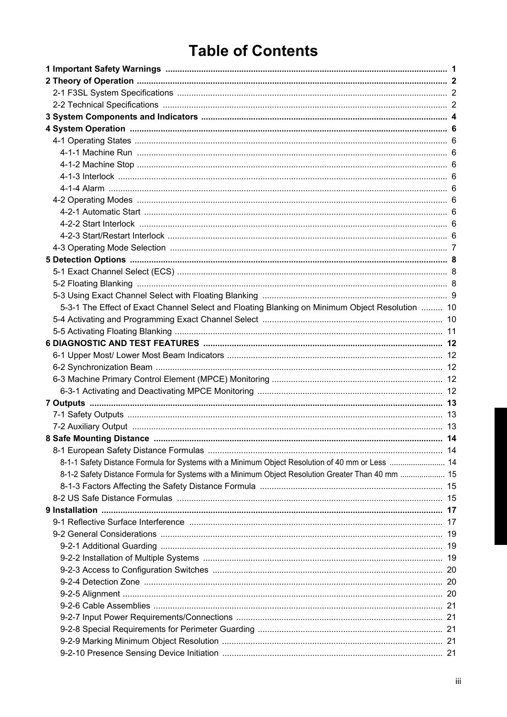# **Table of Contents**

| 5-3-1 The Effect of Exact Channel Select and Floating Blanking on Minimum Object Resolution  10   |  |
|---------------------------------------------------------------------------------------------------|--|
|                                                                                                   |  |
|                                                                                                   |  |
|                                                                                                   |  |
|                                                                                                   |  |
|                                                                                                   |  |
|                                                                                                   |  |
|                                                                                                   |  |
|                                                                                                   |  |
|                                                                                                   |  |
|                                                                                                   |  |
|                                                                                                   |  |
|                                                                                                   |  |
| 8-1-1 Safety Distance Formula for Systems with a Minimum Object Resolution of 40 mm or Less  14   |  |
| 8-1-2 Safety Distance Formula for Systems with a Minimum Object Resolution Greater Than 40 mm  15 |  |
|                                                                                                   |  |
|                                                                                                   |  |
|                                                                                                   |  |
|                                                                                                   |  |
|                                                                                                   |  |
|                                                                                                   |  |
|                                                                                                   |  |
|                                                                                                   |  |
|                                                                                                   |  |
|                                                                                                   |  |
|                                                                                                   |  |
|                                                                                                   |  |
|                                                                                                   |  |
|                                                                                                   |  |
|                                                                                                   |  |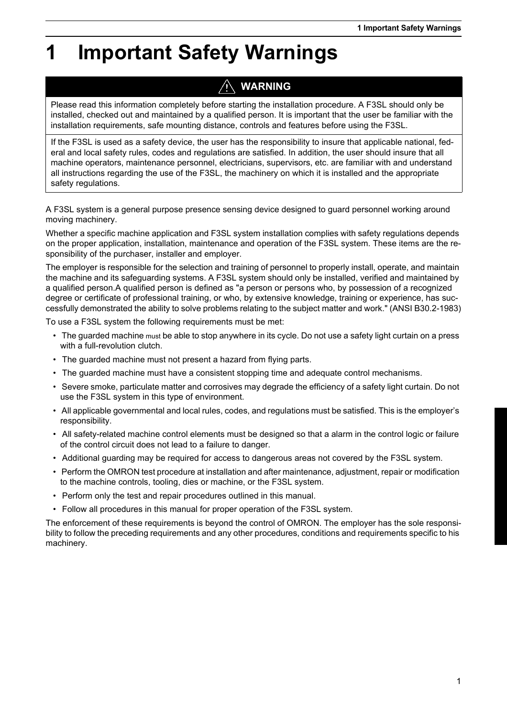# <span id="page-6-0"></span>**1 Important Safety Warnings**

# **WARNING**

Please read this information completely before starting the installation procedure. A F3SL should only be installed, checked out and maintained by a qualified person. It is important that the user be familiar with the installation requirements, safe mounting distance, controls and features before using the F3SL.

If the F3SL is used as a safety device, the user has the responsibility to insure that applicable national, federal and local safety rules, codes and regulations are satisfied. In addition, the user should insure that all machine operators, maintenance personnel, electricians, supervisors, etc. are familiar with and understand all instructions regarding the use of the F3SL, the machinery on which it is installed and the appropriate safety regulations.

A F3SL system is a general purpose presence sensing device designed to guard personnel working around moving machinery.

Whether a specific machine application and F3SL system installation complies with safety regulations depends on the proper application, installation, maintenance and operation of the F3SL system. These items are the responsibility of the purchaser, installer and employer.

The employer is responsible for the selection and training of personnel to properly install, operate, and maintain the machine and its safeguarding systems. A F3SL system should only be installed, verified and maintained by a qualified person.A qualified person is defined as "a person or persons who, by possession of a recognized degree or certificate of professional training, or who, by extensive knowledge, training or experience, has successfully demonstrated the ability to solve problems relating to the subject matter and work." (ANSI B30.2-1983)

To use a F3SL system the following requirements must be met:

- The guarded machine must be able to stop anywhere in its cycle. Do not use a safety light curtain on a press with a full-revolution clutch.
- The guarded machine must not present a hazard from flying parts.
- The guarded machine must have a consistent stopping time and adequate control mechanisms.
- Severe smoke, particulate matter and corrosives may degrade the efficiency of a safety light curtain. Do not use the F3SL system in this type of environment.
- All applicable governmental and local rules, codes, and regulations must be satisfied. This is the employer's responsibility.
- All safety-related machine control elements must be designed so that a alarm in the control logic or failure of the control circuit does not lead to a failure to danger.
- Additional guarding may be required for access to dangerous areas not covered by the F3SL system.
- Perform the OMRON test procedure at installation and after maintenance, adjustment, repair or modification to the machine controls, tooling, dies or machine, or the F3SL system.
- Perform only the test and repair procedures outlined in this manual.
- Follow all procedures in this manual for proper operation of the F3SL system.

The enforcement of these requirements is beyond the control of OMRON. The employer has the sole responsibility to follow the preceding requirements and any other procedures, conditions and requirements specific to his machinery.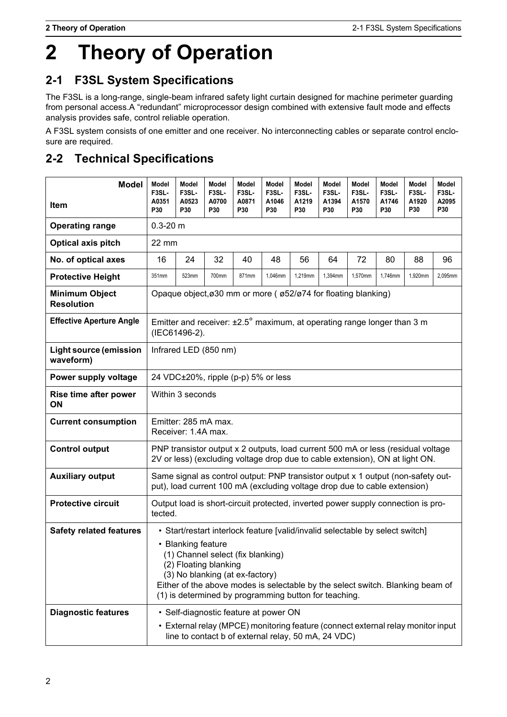# <span id="page-7-2"></span>**2 Theory of Operation**

# <span id="page-7-3"></span><span id="page-7-0"></span>**2-1 F3SL System Specifications**

The F3SL is a long-range, single-beam infrared safety light curtain designed for machine perimeter guarding from personal access.A "redundant" microprocessor design combined with extensive fault mode and effects analysis provides safe, control reliable operation.

A F3SL system consists of one emitter and one receiver. No interconnecting cables or separate control enclosure are required.

# <span id="page-7-4"></span><span id="page-7-1"></span>**2-2 Technical Specifications**

| <b>Model</b><br><b>Item</b>                | Model<br>F3SL-<br>A0351<br>P30                                                                                                                                                                                                                                                                                                                  | Model<br>F3SL-<br>A0523<br><b>P30</b>                                                              | Model<br>F3SL-<br>A0700<br>P30 | Model<br>F3SL-<br>A0871<br>P30 | Model<br>F3SL-<br>A1046<br>P30                                                                                                                                                   | Model<br>F3SL-<br>A1219<br><b>P30</b> | Model<br>F3SL-<br>A1394<br>P30 | Model<br>F3SL-<br>A1570<br><b>P30</b> | Model<br>F3SL-<br>A1746<br><b>P30</b> | Model<br>F3SL-<br>A1920<br>P30 | Model<br>F3SL-<br>A2095<br><b>P30</b> |
|--------------------------------------------|-------------------------------------------------------------------------------------------------------------------------------------------------------------------------------------------------------------------------------------------------------------------------------------------------------------------------------------------------|----------------------------------------------------------------------------------------------------|--------------------------------|--------------------------------|----------------------------------------------------------------------------------------------------------------------------------------------------------------------------------|---------------------------------------|--------------------------------|---------------------------------------|---------------------------------------|--------------------------------|---------------------------------------|
| <b>Operating range</b>                     |                                                                                                                                                                                                                                                                                                                                                 | $0.3 - 20$ m                                                                                       |                                |                                |                                                                                                                                                                                  |                                       |                                |                                       |                                       |                                |                                       |
| Optical axis pitch                         | 22 mm                                                                                                                                                                                                                                                                                                                                           |                                                                                                    |                                |                                |                                                                                                                                                                                  |                                       |                                |                                       |                                       |                                |                                       |
| No. of optical axes                        | 16                                                                                                                                                                                                                                                                                                                                              | 24                                                                                                 | 32                             | 40                             | 48                                                                                                                                                                               | 56                                    | 64                             | 72                                    | 80                                    | 88                             | 96                                    |
| <b>Protective Height</b>                   | 351mm                                                                                                                                                                                                                                                                                                                                           | 523mm                                                                                              | 700mm                          | 871mm                          | 1,046mm                                                                                                                                                                          | 1,219mm                               | 1,394mm                        | 1,570mm                               | 1,746mm                               | 1.920mm                        | 2,095mm                               |
| <b>Minimum Object</b><br><b>Resolution</b> |                                                                                                                                                                                                                                                                                                                                                 |                                                                                                    |                                |                                | Opaque object, ø30 mm or more ( ø52/ø74 for floating blanking)                                                                                                                   |                                       |                                |                                       |                                       |                                |                                       |
| <b>Effective Aperture Angle</b>            |                                                                                                                                                                                                                                                                                                                                                 | Emitter and receiver: $\pm 2.5^\circ$ maximum, at operating range longer than 3 m<br>(IEC61496-2). |                                |                                |                                                                                                                                                                                  |                                       |                                |                                       |                                       |                                |                                       |
| <b>Light source (emission</b><br>waveform) |                                                                                                                                                                                                                                                                                                                                                 | Infrared LED (850 nm)                                                                              |                                |                                |                                                                                                                                                                                  |                                       |                                |                                       |                                       |                                |                                       |
| Power supply voltage                       |                                                                                                                                                                                                                                                                                                                                                 |                                                                                                    |                                |                                | 24 VDC±20%, ripple (p-p) 5% or less                                                                                                                                              |                                       |                                |                                       |                                       |                                |                                       |
| Rise time after power<br>ON                |                                                                                                                                                                                                                                                                                                                                                 | Within 3 seconds                                                                                   |                                |                                |                                                                                                                                                                                  |                                       |                                |                                       |                                       |                                |                                       |
| <b>Current consumption</b>                 |                                                                                                                                                                                                                                                                                                                                                 | Receiver: 1.4A max.                                                                                | Emitter: 285 mA max.           |                                |                                                                                                                                                                                  |                                       |                                |                                       |                                       |                                |                                       |
| <b>Control output</b>                      |                                                                                                                                                                                                                                                                                                                                                 |                                                                                                    |                                |                                | PNP transistor output x 2 outputs, load current 500 mA or less (residual voltage<br>2V or less) (excluding voltage drop due to cable extension), ON at light ON.                 |                                       |                                |                                       |                                       |                                |                                       |
| <b>Auxiliary output</b>                    |                                                                                                                                                                                                                                                                                                                                                 |                                                                                                    |                                |                                | Same signal as control output: PNP transistor output x 1 output (non-safety out-<br>put), load current 100 mA (excluding voltage drop due to cable extension)                    |                                       |                                |                                       |                                       |                                |                                       |
| <b>Protective circuit</b>                  | tected.                                                                                                                                                                                                                                                                                                                                         |                                                                                                    |                                |                                | Output load is short-circuit protected, inverted power supply connection is pro-                                                                                                 |                                       |                                |                                       |                                       |                                |                                       |
| <b>Safety related features</b>             | • Start/restart interlock feature [valid/invalid selectable by select switch]<br>• Blanking feature<br>(1) Channel select (fix blanking)<br>(2) Floating blanking<br>(3) No blanking (at ex-factory)<br>Either of the above modes is selectable by the select switch. Blanking beam of<br>(1) is determined by programming button for teaching. |                                                                                                    |                                |                                |                                                                                                                                                                                  |                                       |                                |                                       |                                       |                                |                                       |
| <b>Diagnostic features</b>                 |                                                                                                                                                                                                                                                                                                                                                 |                                                                                                    |                                |                                | • Self-diagnostic feature at power ON<br>• External relay (MPCE) monitoring feature (connect external relay monitor input<br>line to contact b of external relay, 50 mA, 24 VDC) |                                       |                                |                                       |                                       |                                |                                       |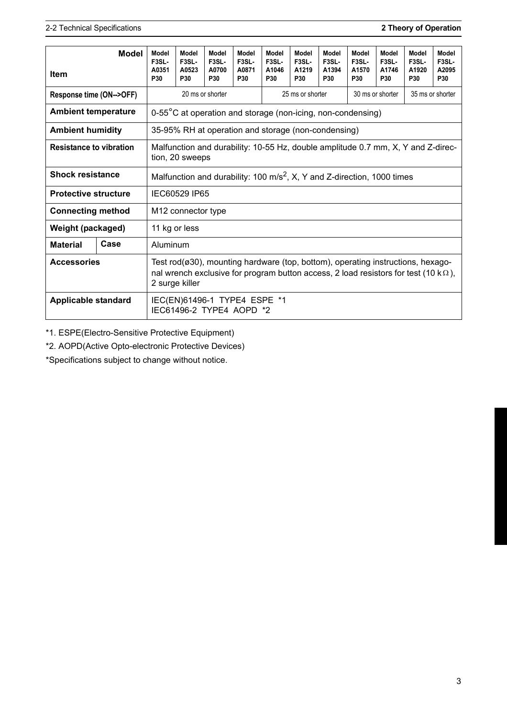|                                                                                                                                       | <b>Model</b>                                                                                                                                                                                              | Model                                                    | Model                                                                               | Model                        | Model                 | Model                                               | Model                                     | Model                 | Model                                                       | Model                              | Model                              | Model                              |
|---------------------------------------------------------------------------------------------------------------------------------------|-----------------------------------------------------------------------------------------------------------------------------------------------------------------------------------------------------------|----------------------------------------------------------|-------------------------------------------------------------------------------------|------------------------------|-----------------------|-----------------------------------------------------|-------------------------------------------|-----------------------|-------------------------------------------------------------|------------------------------------|------------------------------------|------------------------------------|
| <b>Item</b>                                                                                                                           |                                                                                                                                                                                                           | F3SL-<br>A0351<br>P30                                    | F <sub>3</sub> SL-<br>A0523<br>P30                                                  | F3SL-<br>A0700<br><b>P30</b> | F3SL-<br>A0871<br>P30 | F3SL-<br>A1046<br>P30                               | F <sub>3</sub> SL-<br>A1219<br><b>P30</b> | F3SL-<br>A1394<br>P30 | F3SL-<br>A1570<br><b>P30</b>                                | F <sub>3</sub> SL-<br>A1746<br>P30 | F <sub>3</sub> SL-<br>A1920<br>P30 | F <sub>3</sub> SL-<br>A2095<br>P30 |
| Response time (ON-->OFF)                                                                                                              |                                                                                                                                                                                                           |                                                          |                                                                                     | 20 ms or shorter             |                       |                                                     | 25 ms or shorter                          |                       | 30 ms or shorter<br>35 ms or shorter                        |                                    |                                    |                                    |
| <b>Ambient temperature</b>                                                                                                            |                                                                                                                                                                                                           |                                                          |                                                                                     |                              |                       |                                                     |                                           |                       | 0-55°C at operation and storage (non-icing, non-condensing) |                                    |                                    |                                    |
| <b>Ambient humidity</b>                                                                                                               |                                                                                                                                                                                                           |                                                          |                                                                                     |                              |                       | 35-95% RH at operation and storage (non-condensing) |                                           |                       |                                                             |                                    |                                    |                                    |
| <b>Resistance to vibration</b><br>Malfunction and durability: 10-55 Hz, double amplitude 0.7 mm, X, Y and Z-direc-<br>tion, 20 sweeps |                                                                                                                                                                                                           |                                                          |                                                                                     |                              |                       |                                                     |                                           |                       |                                                             |                                    |                                    |                                    |
| <b>Shock resistance</b>                                                                                                               |                                                                                                                                                                                                           |                                                          | Malfunction and durability: 100 m/s <sup>2</sup> , X, Y and Z-direction, 1000 times |                              |                       |                                                     |                                           |                       |                                                             |                                    |                                    |                                    |
| <b>Protective structure</b>                                                                                                           |                                                                                                                                                                                                           |                                                          | IEC60529 IP65                                                                       |                              |                       |                                                     |                                           |                       |                                                             |                                    |                                    |                                    |
| <b>Connecting method</b>                                                                                                              |                                                                                                                                                                                                           | M <sub>12</sub> connector type                           |                                                                                     |                              |                       |                                                     |                                           |                       |                                                             |                                    |                                    |                                    |
| Weight (packaged)                                                                                                                     |                                                                                                                                                                                                           | 11 kg or less                                            |                                                                                     |                              |                       |                                                     |                                           |                       |                                                             |                                    |                                    |                                    |
| <b>Material</b>                                                                                                                       | Case                                                                                                                                                                                                      | Aluminum                                                 |                                                                                     |                              |                       |                                                     |                                           |                       |                                                             |                                    |                                    |                                    |
| <b>Accessories</b>                                                                                                                    | Test rod( $\alpha$ 30), mounting hardware (top, bottom), operating instructions, hexago-<br>nal wrench exclusive for program button access, 2 load resistors for test (10 k $\Omega$ ),<br>2 surge killer |                                                          |                                                                                     |                              |                       |                                                     |                                           |                       |                                                             |                                    |                                    |                                    |
| <b>Applicable standard</b>                                                                                                            |                                                                                                                                                                                                           | IEC(EN)61496-1 TYPE4 ESPE *1<br>IEC61496-2 TYPE4 AOPD *2 |                                                                                     |                              |                       |                                                     |                                           |                       |                                                             |                                    |                                    |                                    |

\*1. ESPE(Electro-Sensitive Protective Equipment)

\*2. AOPD(Active Opto-electronic Protective Devices)

\*Specifications subject to change without notice.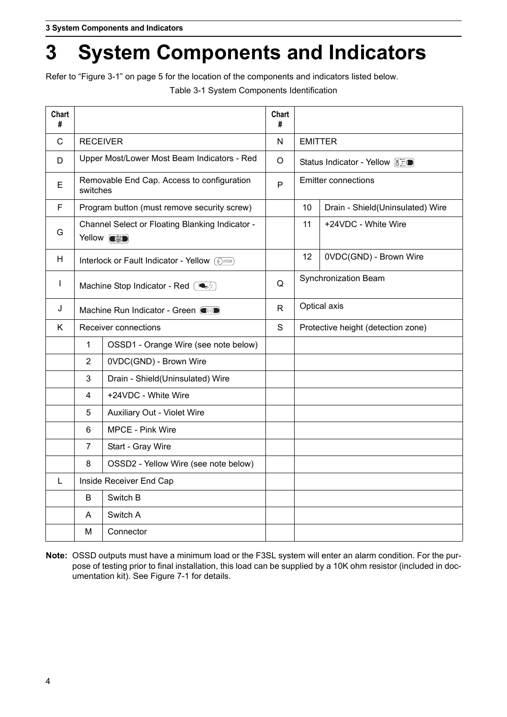# <span id="page-9-0"></span>**3 System Components and Indicators**

<span id="page-9-1"></span>Refer to ["Figure 3-1"](#page-10-0) on page [5](#page-10-0) for the location of the components and indicators listed below.

Table 3-1 System Components Identification

| Chart<br>#   |                                           |                                                                      | Chart<br># |                                    |                                   |  |  |
|--------------|-------------------------------------------|----------------------------------------------------------------------|------------|------------------------------------|-----------------------------------|--|--|
| $\mathsf{C}$ | <b>RECEIVER</b>                           |                                                                      | N          | <b>EMITTER</b>                     |                                   |  |  |
| D            |                                           | Upper Most/Lower Most Beam Indicators - Red                          | $\circ$    |                                    | Status Indicator - Yellow ( S E ) |  |  |
| Е            | switches                                  | Removable End Cap. Access to configuration                           | P          |                                    | <b>Emitter connections</b>        |  |  |
| F            |                                           | Program button (must remove security screw)                          |            | 10                                 | Drain - Shield(Uninsulated) Wire  |  |  |
| G            |                                           | Channel Select or Floating Blanking Indicator -<br>Yellow <b>exp</b> |            | 11                                 | +24VDC - White Wire               |  |  |
| H            |                                           | Interlock or Fault Indicator - Yellow ( $\circ$ )                    |            | $12 \overline{ }$                  | 0VDC(GND) - Brown Wire            |  |  |
| $\mathbf{I}$ |                                           | Machine Stop Indicator - Red $\left(\bigotimes_{\mathcal{F}}\right)$ | Q          | Synchronization Beam               |                                   |  |  |
| J            |                                           | Machine Run Indicator - Green $\blacksquare$                         | R.         | Optical axis                       |                                   |  |  |
| K            |                                           | Receiver connections                                                 | S          | Protective height (detection zone) |                                   |  |  |
|              | $\mathbf{1}$                              | OSSD1 - Orange Wire (see note below)                                 |            |                                    |                                   |  |  |
|              | $\overline{2}$                            | 0VDC(GND) - Brown Wire                                               |            |                                    |                                   |  |  |
|              | 3                                         | Drain - Shield(Uninsulated) Wire                                     |            |                                    |                                   |  |  |
|              | 4                                         | +24VDC - White Wire                                                  |            |                                    |                                   |  |  |
|              | 5                                         | Auxiliary Out - Violet Wire                                          |            |                                    |                                   |  |  |
|              | 6                                         | MPCE - Pink Wire                                                     |            |                                    |                                   |  |  |
|              | $\overline{7}$                            | Start - Gray Wire                                                    |            |                                    |                                   |  |  |
|              | 8<br>OSSD2 - Yellow Wire (see note below) |                                                                      |            |                                    |                                   |  |  |
| L            | Inside Receiver End Cap                   |                                                                      |            |                                    |                                   |  |  |
|              | Switch B<br>B                             |                                                                      |            |                                    |                                   |  |  |
|              | A                                         | Switch A                                                             |            |                                    |                                   |  |  |
|              | M                                         | Connector                                                            |            |                                    |                                   |  |  |

**Note:** OSSD outputs must have a minimum load or the F3SL system will enter an alarm condition. For the purpose of testing prior to final installation, this load can be supplied by a 10K ohm resistor (included in documentation kit). See [Figure 7-1](#page-18-3) for details.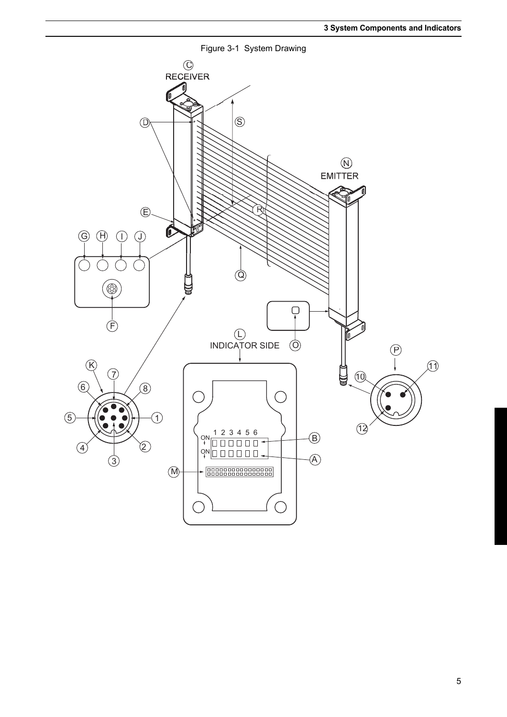<span id="page-10-0"></span>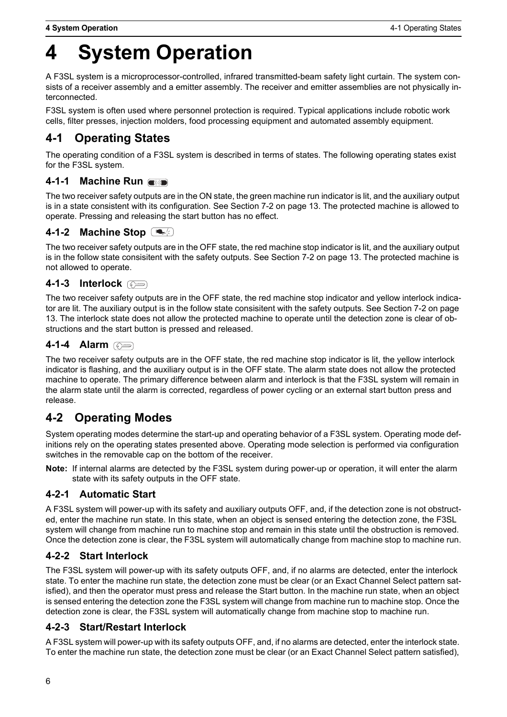# <span id="page-11-0"></span>**4 System Operation**

A F3SL system is a microprocessor-controlled, infrared transmitted-beam safety light curtain. The system consists of a receiver assembly and a emitter assembly. The receiver and emitter assemblies are not physically interconnected.

F3SL system is often used where personnel protection is required. Typical applications include robotic work cells, filter presses, injection molders, food processing equipment and automated assembly equipment.

# <span id="page-11-1"></span>**4-1 Operating States**

The operating condition of a F3SL system is described in terms of states. The following operating states exist for the F3SL system.

#### <span id="page-11-2"></span>**4-1-1 Machine Run**

The two receiver safety outputs are in the ON state, the green machine run indicator is lit, and the auxiliary output is in a state consistent with its configuration. See [Section 7-2](#page-18-4) on page [13.](#page-18-4) The protected machine is allowed to operate. Pressing and releasing the start button has no effect.

#### <span id="page-11-3"></span>**4-1-2 Machine Stop**  $\overline{\phantom{a}}$

The two receiver safety outputs are in the OFF state, the red machine stop indicator is lit, and the auxiliary output is in the follow state consisitent with the safety outputs. See [Section 7-2](#page-18-4) on page [13](#page-18-4). The protected machine is not allowed to operate.

#### <span id="page-11-4"></span>**4-1-3 Interlock**

The two receiver safety outputs are in the OFF state, the red machine stop indicator and yellow interlock indicator are lit. The auxiliary output is in the follow state consisitent with the safety outputs. See [Section 7-2](#page-18-4) on page [13.](#page-18-4) The interlock state does not allow the protected machine to operate until the detection zone is clear of obstructions and the start button is pressed and released.

#### <span id="page-11-5"></span>**4-1-4 Alarm**

The two receiver safety outputs are in the OFF state, the red machine stop indicator is lit, the yellow interlock indicator is flashing, and the auxiliary output is in the OFF state. The alarm state does not allow the protected machine to operate. The primary difference between alarm and interlock is that the F3SL system will remain in the alarm state until the alarm is corrected, regardless of power cycling or an external start button press and release.

### <span id="page-11-6"></span>**4-2 Operating Modes**

System operating modes determine the start-up and operating behavior of a F3SL system. Operating mode definitions rely on the operating states presented above. Operating mode selection is performed via configuration switches in the removable cap on the bottom of the receiver.

**Note:** If internal alarms are detected by the F3SL system during power-up or operation, it will enter the alarm state with its safety outputs in the OFF state.

#### <span id="page-11-7"></span>**4-2-1 Automatic Start**

A F3SL system will power-up with its safety and auxiliary outputs OFF, and, if the detection zone is not obstructed, enter the machine run state. In this state, when an object is sensed entering the detection zone, the F3SL system will change from machine run to machine stop and remain in this state until the obstruction is removed. Once the detection zone is clear, the F3SL system will automatically change from machine stop to machine run.

#### <span id="page-11-8"></span>**4-2-2 Start Interlock**

The F3SL system will power-up with its safety outputs OFF, and, if no alarms are detected, enter the interlock state. To enter the machine run state, the detection zone must be clear (or an Exact Channel Select pattern satisfied), and then the operator must press and release the Start button. In the machine run state, when an object is sensed entering the detection zone the F3SL system will change from machine run to machine stop. Once the detection zone is clear, the F3SL system will automatically change from machine stop to machine run.

#### <span id="page-11-9"></span>**4-2-3 Start/Restart Interlock**

A F3SL system will power-up with its safety outputs OFF, and, if no alarms are detected, enter the interlock state. To enter the machine run state, the detection zone must be clear (or an Exact Channel Select pattern satisfied),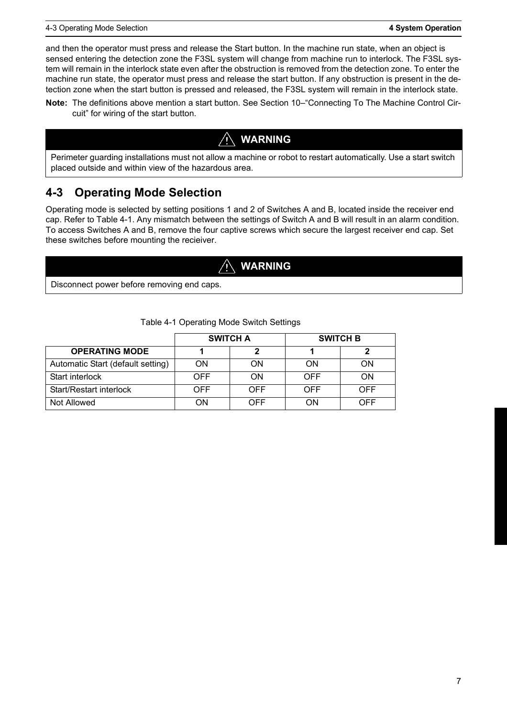and then the operator must press and release the Start button. In the machine run state, when an object is sensed entering the detection zone the F3SL system will change from machine run to interlock. The F3SL system will remain in the interlock state even after the obstruction is removed from the detection zone. To enter the machine run state, the operator must press and release the start button. If any obstruction is present in the detection zone when the start button is pressed and released, the F3SL system will remain in the interlock state.

**Note:** The definitions above mention a start button. See [Section 10–](#page-27-2)"[Connecting To The Machine Control Cir](#page-27-2)[cuit](#page-27-2)" for wiring of the start button.

#### **WARNING**

Perimeter guarding installations must not allow a machine or robot to restart automatically. Use a start switch placed outside and within view of the hazardous area.

### <span id="page-12-0"></span>**4-3 Operating Mode Selection**

Operating mode is selected by setting positions 1 and 2 of Switches A and B, located inside the receiver end cap. Refer to [Table 4-1](#page-12-1). Any mismatch between the settings of Switch A and B will result in an alarm condition. To access Switches A and B, remove the four captive screws which secure the largest receiver end cap. Set these switches before mounting the recieiver.

#### **WARNING**

Disconnect power before removing end caps.

<span id="page-12-1"></span>

|                                   | <b>SWITCH A</b> |     | <b>SWITCH B</b> |     |
|-----------------------------------|-----------------|-----|-----------------|-----|
| <b>OPERATING MODE</b>             |                 |     |                 |     |
| Automatic Start (default setting) | ON              | ON  | ON              | ON  |
| Start interlock                   | <b>OFF</b>      | ON  | OFF             | ON  |
| Start/Restart interlock           | OFF             | OFF | OFF             | OFF |
| Not Allowed                       | ΟN              | OFF | ON              | OFF |

#### Table 4-1 Operating Mode Switch Settings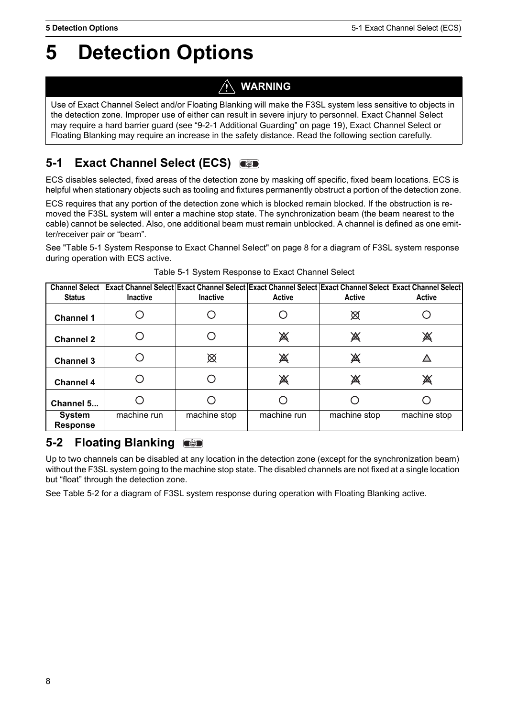# <span id="page-13-0"></span>**5 Detection Options**

#### **WARNING** 'N

Use of Exact Channel Select and/or Floating Blanking will make the F3SL system less sensitive to objects in the detection zone. Improper use of either can result in severe injury to personnel. Exact Channel Select may require a hard barrier guard (see "[9-2-1 Additional Guarding"](#page-24-3) on page [19\)](#page-24-3), Exact Channel Select or Floating Blanking may require an increase in the safety distance. Read the following section carefully.

# <span id="page-13-1"></span>**5-1 Exact Channel Select (ECS)**

ECS disables selected, fixed areas of the detection zone by masking off specific, fixed beam locations. ECS is helpful when stationary objects such as tooling and fixtures permanently obstruct a portion of the detection zone.

ECS requires that any portion of the detection zone which is blocked remain blocked. If the obstruction is removed the F3SL system will enter a machine stop state. The synchronization beam (the beam nearest to the cable) cannot be selected. Also, one additional beam must remain unblocked. A channel is defined as one emitter/receiver pair or "beam".

See ["Table 5-1 System Response to Exact Channel Select" on page 8](#page-13-3) for a diagram of F3SL system response during operation with ECS active.

<span id="page-13-3"></span>

| <b>Status</b>                    | Channel Select   Exact Channel Select   Exact Channel Select   Exact Channel Select   Exact Channel Select   Exact Channel Select  <br><b>Inactive</b> | <b>Inactive</b> | <b>Active</b> | <b>Active</b> | <b>Active</b> |
|----------------------------------|--------------------------------------------------------------------------------------------------------------------------------------------------------|-----------------|---------------|---------------|---------------|
| <b>Channel 1</b>                 |                                                                                                                                                        |                 |               | ⊠             |               |
| <b>Channel 2</b>                 |                                                                                                                                                        |                 | 溪             | 溪             | 溪             |
| <b>Channel 3</b>                 |                                                                                                                                                        | ⊠               | 溪             | 溪             |               |
| <b>Channel 4</b>                 |                                                                                                                                                        |                 | 溪             | 溪             | 溪             |
| Channel 5                        |                                                                                                                                                        |                 |               |               |               |
| <b>System</b><br><b>Response</b> | machine run                                                                                                                                            | machine stop    | machine run   | machine stop  | machine stop  |

Table 5-1 System Response to Exact Channel Select

# <span id="page-13-2"></span>**5-2 Floating Blanking**

Up to two channels can be disabled at any location in the detection zone (except for the synchronization beam) without the F3SL system going to the machine stop state. The disabled channels are not fixed at a single location but "float" through the detection zone.

See [Table 5-2](#page-14-1) for a diagram of F3SL system response during operation with Floating Blanking active.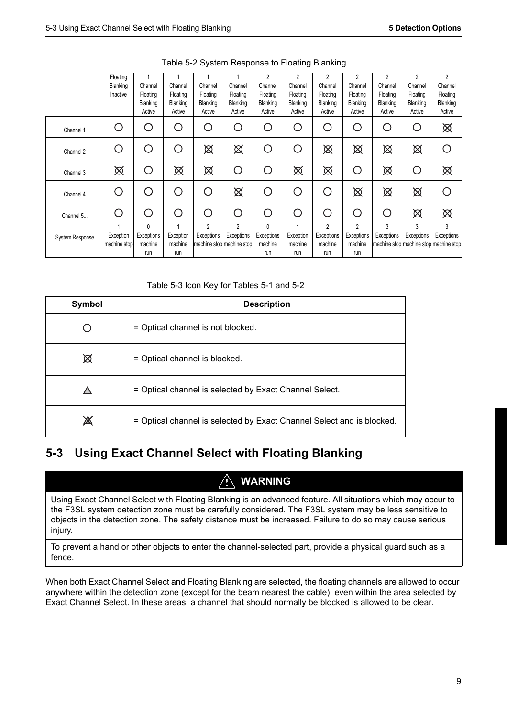<span id="page-14-1"></span>

|                        | Floating<br>Blanking<br>Inactive | Channel<br>Floating<br>Blanking<br>Active   | Channel<br>Floating<br>Blanking<br>Active | Channel<br>Floating<br>Blanking<br>Active | Channel<br>Floating<br>Blanking<br>Active    | 2<br>Channel<br>Floating<br>Blanking<br>Active | $\overline{2}$<br>Channel<br>Floating<br>Blanking<br>Active | $\overline{2}$<br>Channel<br>Floating<br>Blanking<br>Active | 2<br>Channel<br>Floating<br>Blanking<br>Active | 2<br>Channel<br>Floating<br>Blanking<br>Active | $\overline{2}$<br>Channel<br>Floating<br>Blanking<br>Active | $\overline{c}$<br>Channel<br>Floating<br>Blanking<br>Active |
|------------------------|----------------------------------|---------------------------------------------|-------------------------------------------|-------------------------------------------|----------------------------------------------|------------------------------------------------|-------------------------------------------------------------|-------------------------------------------------------------|------------------------------------------------|------------------------------------------------|-------------------------------------------------------------|-------------------------------------------------------------|
| Channel 1              | ◯                                | $\left(\begin{array}{c} \end{array}\right)$ | ◯                                         | ∩                                         | ◯                                            | ∩                                              | ∩                                                           | ◯                                                           | O                                              | ◯                                              | ∩                                                           | ⊠                                                           |
| Channel 2              | O                                | ( )                                         | О                                         | ⊠                                         | ⊠                                            | O                                              | ( )                                                         | ⊠                                                           | ⊠                                              | ⊠                                              | ⊠                                                           | ∩                                                           |
| Channel 3              | ⊠                                | С                                           | ⊠                                         | ⊠                                         | С                                            | Ο                                              | ⊠                                                           | ⊠                                                           | $\bigcirc$                                     | ⊠                                              | О                                                           | ⊠                                                           |
| Channel 4              | $\bigcirc$                       | ( )                                         | ∩                                         | ∩                                         | ⊠                                            | ∩                                              | ∩                                                           | С                                                           | ⊠                                              | ⊠                                              | ⊠                                                           | ◯                                                           |
| Channel 5              | ∩                                | ◯                                           | ∩                                         | ∩                                         | ◯                                            | ∩                                              | ∩                                                           | С                                                           | ∩                                              | ∩                                              | ⊠                                                           | ⊠                                                           |
| <b>System Response</b> | Exception<br>machine stop        | 0<br>Exceptions<br>machine<br>run           | Exception<br>machine<br>run               | $\overline{c}$<br>Exceptions              | 2<br>Exceptions<br>machine stop machine stop | 0<br>Exceptions<br>machine<br>run              | Exception<br>machine<br>run                                 | 2<br>Exceptions<br>machine<br>run                           | 2<br>Exceptions<br>machine<br>run              | 3<br>Exceptions                                | 3<br>Exceptions                                             | 3<br>Exceptions<br>machine stop machine stop machine stop   |

Table 5-2 System Response to Floating Blanking

Table 5-3 Icon Key for Tables 5-1 and 5-2

| Symbol | <b>Description</b>                                                    |
|--------|-----------------------------------------------------------------------|
|        | = Optical channel is not blocked.                                     |
| ⊠      | = Optical channel is blocked.                                         |
|        | = Optical channel is selected by Exact Channel Select.                |
| 溪      | = Optical channel is selected by Exact Channel Select and is blocked. |

## <span id="page-14-0"></span>**5-3 Using Exact Channel Select with Floating Blanking**

#### **WARNING**

Using Exact Channel Select with Floating Blanking is an advanced feature. All situations which may occur to the F3SL system detection zone must be carefully considered. The F3SL system may be less sensitive to objects in the detection zone. The safety distance must be increased. Failure to do so may cause serious injury.

To prevent a hand or other objects to enter the channel-selected part, provide a physical guard such as a fence.

When both Exact Channel Select and Floating Blanking are selected, the floating channels are allowed to occur anywhere within the detection zone (except for the beam nearest the cable), even within the area selected by Exact Channel Select. In these areas, a channel that should normally be blocked is allowed to be clear.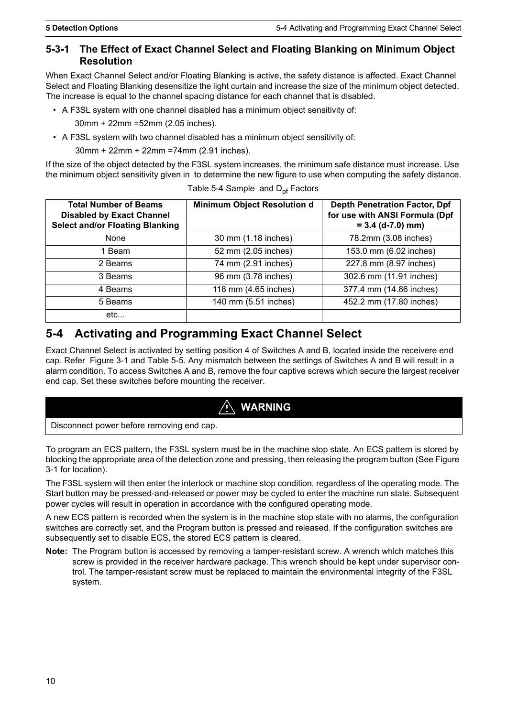#### <span id="page-15-3"></span><span id="page-15-0"></span>**5-3-1 The Effect of Exact Channel Select and Floating Blanking on Minimum Object Resolution**

When Exact Channel Select and/or Floating Blanking is active, the safety distance is affected. Exact Channel Select and Floating Blanking desensitize the light curtain and increase the size of the minimum object detected. The increase is equal to the channel spacing distance for each channel that is disabled.

• A F3SL system with one channel disabled has a minimum object sensitivity of:

30mm + 22mm =52mm (2.05 inches).

• A F3SL system with two channel disabled has a minimum object sensitivity of:

30mm + 22mm + 22mm =74mm (2.91 inches).

If the size of the object detected by the F3SL system increases, the minimum safe distance must increase. Use the minimum object sensitivity given in to determine the new figure to use when computing the safety distance.

<span id="page-15-2"></span>

| <b>Total Number of Beams</b><br><b>Disabled by Exact Channel</b><br><b>Select and/or Floating Blanking</b> | <b>Minimum Object Resolution d</b> | <b>Depth Penetration Factor, Dpf</b><br>for use with ANSI Formula (Dpf<br>$= 3.4$ (d-7.0) mm) |
|------------------------------------------------------------------------------------------------------------|------------------------------------|-----------------------------------------------------------------------------------------------|
| <b>None</b>                                                                                                | 30 mm (1.18 inches)                | 78.2mm (3.08 inches)                                                                          |
| 1 Beam                                                                                                     | 52 mm (2.05 inches)                | 153.0 mm (6.02 inches)                                                                        |
| 2 Beams                                                                                                    | 74 mm (2.91 inches)                | 227.8 mm (8.97 inches)                                                                        |
| 3 Beams                                                                                                    | 96 mm (3.78 inches)                | 302.6 mm (11.91 inches)                                                                       |
| 4 Beams                                                                                                    | 118 mm (4.65 inches)               | 377.4 mm (14.86 inches)                                                                       |
| 5 Beams                                                                                                    | 140 mm (5.51 inches)               | 452.2 mm (17.80 inches)                                                                       |
| etc                                                                                                        |                                    |                                                                                               |

| Table 5-4 Sample and D <sub>pf</sub> Factors |  |
|----------------------------------------------|--|
|----------------------------------------------|--|

#### <span id="page-15-1"></span>**5-4 Activating and Programming Exact Channel Select**

Exact Channel Select is activated by setting position 4 of Switches A and B, located inside the receivere end cap. Refer [Figure 3-1](#page-10-0) and [Table 5-5](#page-16-1). Any mismatch between the settings of Switches A and B will result in a alarm condition. To access Switches A and B, remove the four captive screws which secure the largest receiver end cap. Set these switches before mounting the receiver.

## **WARNING**

Disconnect power before removing end cap.

To program an ECS pattern, the F3SL system must be in the machine stop state. An ECS pattern is stored by blocking the appropriate area of the detection zone and pressing, then releasing the program button (See [Figure](#page-10-0)  [3-1](#page-10-0) for location).

The F3SL system will then enter the interlock or machine stop condition, regardless of the operating mode. The Start button may be pressed-and-released or power may be cycled to enter the machine run state. Subsequent power cycles will result in operation in accordance with the configured operating mode.

A new ECS pattern is recorded when the system is in the machine stop state with no alarms, the configuration switches are correctly set, and the Program button is pressed and released. If the configuration switches are subsequently set to disable ECS, the stored ECS pattern is cleared.

**Note:** The Program button is accessed by removing a tamper-resistant screw. A wrench which matches this screw is provided in the receiver hardware package. This wrench should be kept under supervisor control. The tamper-resistant screw must be replaced to maintain the environmental integrity of the F3SL system.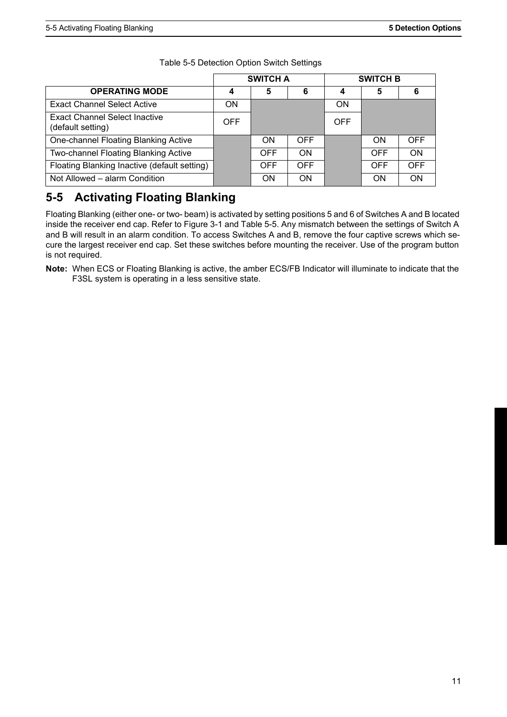<span id="page-16-1"></span>

|                                                    | <b>SWITCH A</b> |            |            | <b>SWITCH B</b> |            |            |
|----------------------------------------------------|-----------------|------------|------------|-----------------|------------|------------|
| <b>OPERATING MODE</b>                              | 4               | 5          | 6          |                 | 5          | 6          |
| <b>Exact Channel Select Active</b>                 | ON              |            |            | ON              |            |            |
| Exact Channel Select Inactive<br>(default setting) | OFF.            |            |            | <b>OFF</b>      |            |            |
| One-channel Floating Blanking Active               |                 | ON         | <b>OFF</b> |                 | ON         | <b>OFF</b> |
| Two-channel Floating Blanking Active               |                 | <b>OFF</b> | ON         |                 | <b>OFF</b> | ON         |
| Floating Blanking Inactive (default setting)       |                 | <b>OFF</b> | OFF.       |                 | <b>OFF</b> | <b>OFF</b> |
| Not Allowed – alarm Condition                      |                 | <b>ON</b>  | <b>ON</b>  |                 | ON         | ON         |

Table 5-5 Detection Option Switch Settings

## <span id="page-16-0"></span>**5-5 Activating Floating Blanking**

Floating Blanking (either one- or two- beam) is activated by setting positions 5 and 6 of Switches A and B located inside the receiver end cap. Refer to [Figure 3-1](#page-10-0) and [Table 5-5.](#page-16-1) Any mismatch between the settings of Switch A and B will result in an alarm condition. To access Switches A and B, remove the four captive screws which secure the largest receiver end cap. Set these switches before mounting the receiver. Use of the program button is not required.

**Note:** When ECS or Floating Blanking is active, the amber ECS/FB Indicator will illuminate to indicate that the F3SL system is operating in a less sensitive state.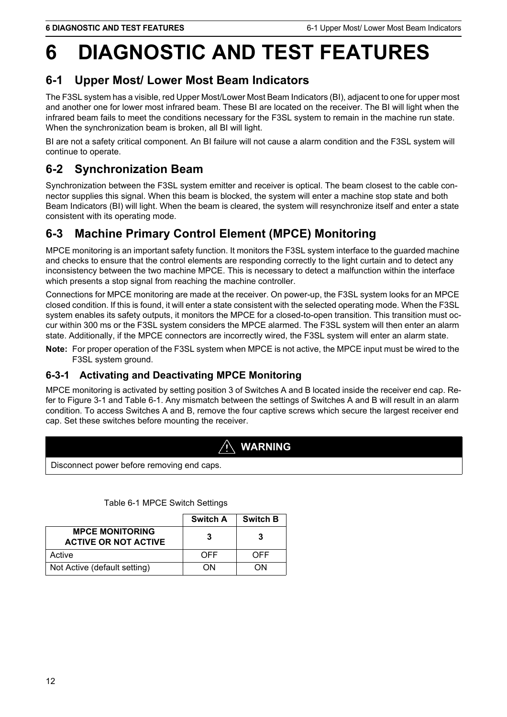# <span id="page-17-0"></span>**6 DIAGNOSTIC AND TEST FEATURES**

## <span id="page-17-6"></span><span id="page-17-1"></span>**6-1 Upper Most/ Lower Most Beam Indicators**

The F3SL system has a visible, red Upper Most/Lower Most Beam Indicators (BI), adjacent to one for upper most and another one for lower most infrared beam. These BI are located on the receiver. The BI will light when the infrared beam fails to meet the conditions necessary for the F3SL system to remain in the machine run state. When the synchronization beam is broken, all BI will light.

BI are not a safety critical component. An BI failure will not cause a alarm condition and the F3SL system will continue to operate.

## <span id="page-17-2"></span>**6-2 Synchronization Beam**

Synchronization between the F3SL system emitter and receiver is optical. The beam closest to the cable connector supplies this signal. When this beam is blocked, the system will enter a machine stop state and both Beam Indicators (BI) will light. When the beam is cleared, the system will resynchronize itself and enter a state consistent with its operating mode.

## <span id="page-17-3"></span>**6-3 Machine Primary Control Element (MPCE) Monitoring**

MPCE monitoring is an important safety function. It monitors the F3SL system interface to the guarded machine and checks to ensure that the control elements are responding correctly to the light curtain and to detect any inconsistency between the two machine MPCE. This is necessary to detect a malfunction within the interface which presents a stop signal from reaching the machine controller.

Connections for MPCE monitoring are made at the receiver. On power-up, the F3SL system looks for an MPCE closed condition. If this is found, it will enter a state consistent with the selected operating mode. When the F3SL system enables its safety outputs, it monitors the MPCE for a closed-to-open transition. This transition must occur within 300 ms or the F3SL system considers the MPCE alarmed. The F3SL system will then enter an alarm state. Additionally, if the MPCE connectors are incorrectly wired, the F3SL system will enter an alarm state.

**Note:** For proper operation of the F3SL system when MPCE is not active, the MPCE input must be wired to the F3SL system ground.

#### <span id="page-17-4"></span>**6-3-1 Activating and Deactivating MPCE Monitoring**

MPCE monitoring is activated by setting position 3 of Switches A and B located inside the receiver end cap. Refer to [Figure 3-1](#page-10-0) and [Table 6-1.](#page-17-5) Any mismatch between the settings of Switches A and B will result in an alarm condition. To access Switches A and B, remove the four captive screws which secure the largest receiver end cap. Set these switches before mounting the receiver.

## **WARNING**

Disconnect power before removing end caps.

<span id="page-17-5"></span>

|                                                       | <b>Switch A</b> | <b>Switch B</b> |
|-------------------------------------------------------|-----------------|-----------------|
| <b>MPCE MONITORING</b><br><b>ACTIVE OR NOT ACTIVE</b> | 3               |                 |
| Active                                                | OFF             | OFF             |
| Not Active (default setting)                          | NΩ              | ωN              |

Table 6-1 MPCE Switch Settings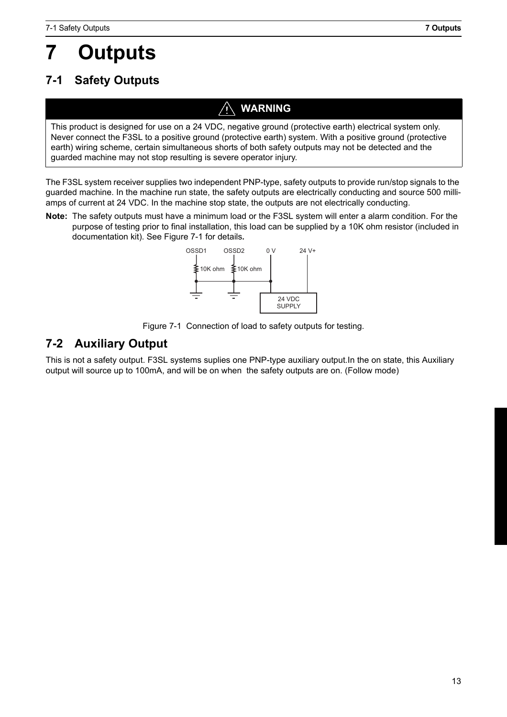# <span id="page-18-1"></span><span id="page-18-0"></span>**7-1 Safety Outputs**

# **WARNING**

This product is designed for use on a 24 VDC, negative ground (protective earth) electrical system only. Never connect the F3SL to a positive ground (protective earth) system. With a positive ground (protective earth) wiring scheme, certain simultaneous shorts of both safety outputs may not be detected and the guarded machine may not stop resulting is severe operator injury.

The F3SL system receiver supplies two independent PNP-type, safety outputs to provide run/stop signals to the guarded machine. In the machine run state, the safety outputs are electrically conducting and source 500 milliamps of current at 24 VDC. In the machine stop state, the outputs are not electrically conducting.

**Note:** The safety outputs must have a minimum load or the F3SL system will enter a alarm condition. For the purpose of testing prior to final installation, this load can be supplied by a 10K ohm resistor (included in documentation kit). See [Figure 7-1](#page-18-3) for details*.*



Figure 7-1 Connection of load to safety outputs for testing.

## <span id="page-18-4"></span><span id="page-18-3"></span><span id="page-18-2"></span>**7-2 Auxiliary Output**

This is not a safety output. F3SL systems suplies one PNP-type auxiliary output.In the on state, this Auxiliary output will source up to 100mA, and will be on when the safety outputs are on. (Follow mode)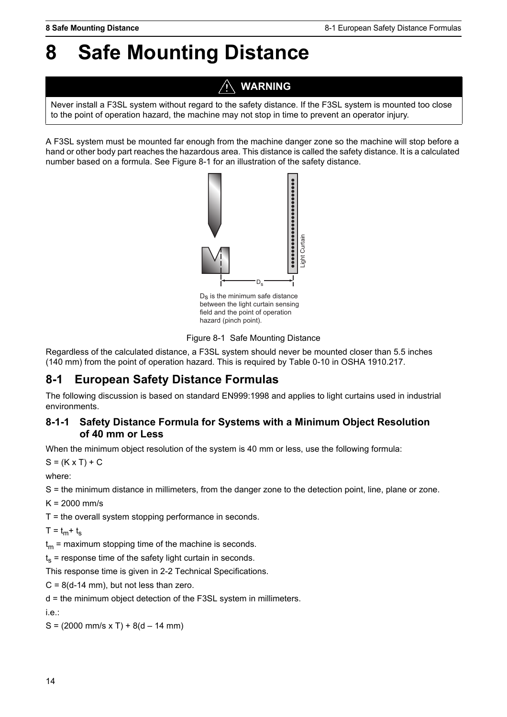# <span id="page-19-0"></span>**8 Safe Mounting Distance**

# **WARNING**

Never install a F3SL system without regard to the safety distance. If the F3SL system is mounted too close to the point of operation hazard, the machine may not stop in time to prevent an operator injury.

A F3SL system must be mounted far enough from the machine danger zone so the machine will stop before a hand or other body part reaches the hazardous area. This distance is called the safety distance. It is a calculated number based on a formula. See [Figure 8-1](#page-19-3) for an illustration of the safety distance.



between the light curtain sensing field and the point of operation hazard (pinch point).



<span id="page-19-3"></span>Regardless of the calculated distance, a F3SL system should never be mounted closer than 5.5 inches (140 mm) from the point of operation hazard. This is required by Table 0-10 in OSHA 1910.217.

### <span id="page-19-1"></span>**8-1 European Safety Distance Formulas**

The following discussion is based on standard EN999:1998 and applies to light curtains used in industrial environments.

#### <span id="page-19-4"></span><span id="page-19-2"></span>**8-1-1 Safety Distance Formula for Systems with a Minimum Object Resolution of 40 mm or Less**

When the minimum object resolution of the system is 40 mm or less, use the following formula:

 $S = (K \times T) + C$ 

where:

S = the minimum distance in millimeters, from the danger zone to the detection point, line, plane or zone.

 $K = 2000$  mm/s

T = the overall system stopping performance in seconds.

 $T = t<sub>m</sub> + t<sub>s</sub>$ 

 $t_m$  = maximum stopping time of the machine is seconds.

 $t_s$  = response time of the safety light curtain in seconds.

This response time is given in [2-2 Technical Specifications.](#page-7-4)

 $C = 8(d-14$  mm), but not less than zero.

d = the minimum object detection of the F3SL system in millimeters.

i.e.:

 $S = (2000 \text{ mm/s} \times T) + 8(d - 14 \text{ mm})$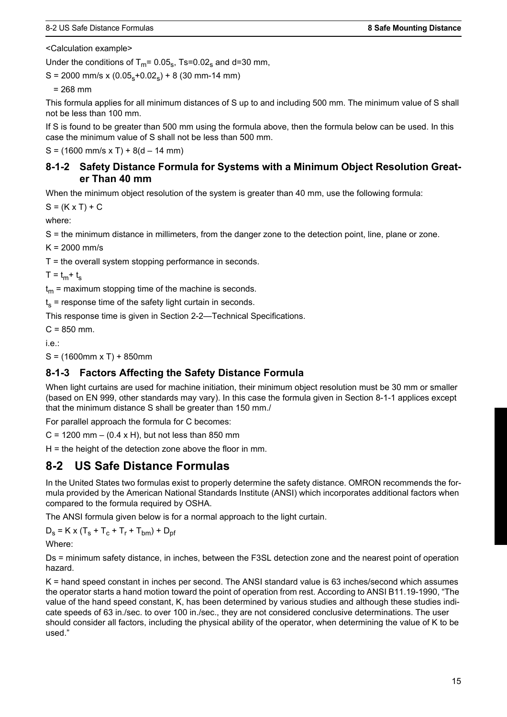<Calculation example>

Under the conditions of  $T_m$ = 0.05<sub>s</sub>, Ts=0.02<sub>s</sub> and d=30 mm,

 $S = 2000$  mm/s x  $(0.05<sub>s</sub>+0.02<sub>s</sub>) + 8$  (30 mm-14 mm)

 $= 268$  mm

This formula applies for all minimum distances of S up to and including 500 mm. The minimum value of S shall not be less than 100 mm.

If S is found to be greater than 500 mm using the formula above, then the formula below can be used. In this case the minimum value of S shall not be less than 500 mm.

<span id="page-20-0"></span> $S = (1600 \text{ mm/s} \times T) + 8(d - 14 \text{ mm})$ 

#### **8-1-2 Safety Distance Formula for Systems with a Minimum Object Resolution Greater Than 40 mm**

When the minimum object resolution of the system is greater than 40 mm, use the following formula:

 $S = (K \times T) + C$ 

where:

S = the minimum distance in millimeters, from the danger zone to the detection point, line, plane or zone.

 $K = 2000$  mm/s

T = the overall system stopping performance in seconds.

 $T = t<sub>m</sub> + t<sub>s</sub>$ 

 $t_m$  = maximum stopping time of the machine is seconds.

 $t_s$  = response time of the safety light curtain in seconds.

This response time is given in [Section 2-2—Technical Specifications.](#page-7-4)

 $C = 850$  mm.

i.e.:

<span id="page-20-1"></span> $S = (1600$ mm x T $) + 850$ mm

#### **8-1-3 Factors Affecting the Safety Distance Formula**

When light curtains are used for machine initiation, their minimum object resolution must be 30 mm or smaller (based on EN 999, other standards may vary). In this case the formula given in [Section 8-1-1](#page-19-4) applices except that the minimum distance S shall be greater than 150 mm./

For parallel approach the formula for C becomes:

 $C = 1200$  mm  $- (0.4 \times H)$ , but not less than 850 mm

<span id="page-20-2"></span> $H =$  the height of the detection zone above the floor in mm.

#### **8-2 US Safe Distance Formulas**

In the United States two formulas exist to properly determine the safety distance. OMRON recommends the formula provided by the American National Standards Institute (ANSI) which incorporates additional factors when compared to the formula required by OSHA.

The ANSI formula given below is for a normal approach to the light curtain.

 $D_s = K \times (T_s + T_c + T_r + T_{bm}) + D_{pf}$ 

Where:

Ds = minimum safety distance, in inches, between the F3SL detection zone and the nearest point of operation hazard.

K = hand speed constant in inches per second. The ANSI standard value is 63 inches/second which assumes the operator starts a hand motion toward the point of operation from rest. According to ANSI B11.19-1990, "The value of the hand speed constant, K, has been determined by various studies and although these studies indicate speeds of 63 in./sec. to over 100 in./sec., they are not considered conclusive determinations. The user should consider all factors, including the physical ability of the operator, when determining the value of K to be used."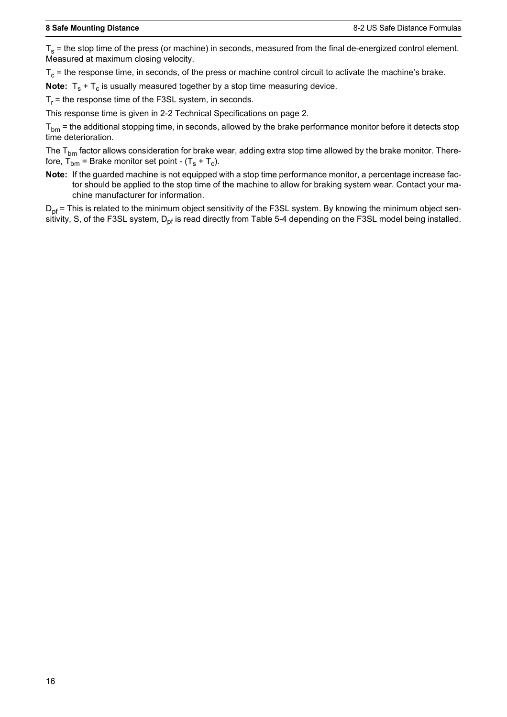$T_s$  = the stop time of the press (or machine) in seconds, measured from the final de-energized control element. Measured at maximum closing velocity.

 $T_c$  = the response time, in seconds, of the press or machine control circuit to activate the machine's brake.

**Note:**  $T_s + T_c$  is usually measured together by a stop time measuring device.

 $T<sub>r</sub>$  = the response time of the F3SL system, in seconds.

This response time is given in [2-2 Technical Specifications](#page-7-4) on page [2.](#page-7-4)

 $T_{bm}$  = the additional stopping time, in seconds, allowed by the brake performance monitor before it detects stop time deterioration.

The  $T_{bm}$  factor allows consideration for brake wear, adding extra stop time allowed by the brake monitor. Therefore,  $T_{bm}$  = Brake monitor set point -  $(T_s + T_c)$ .

**Note:** If the guarded machine is not equipped with a stop time performance monitor, a percentage increase factor should be applied to the stop time of the machine to allow for braking system wear. Contact your machine manufacturer for information.

 $D_{\text{pf}}$  = This is related to the minimum object sensitivity of the F3SL system. By knowing the minimum object sensitivity, S, of the F3SL system,  $D_{\text{nf}}$  is read directly from [Table 5-4](#page-15-2) depending on the F3SL model being installed.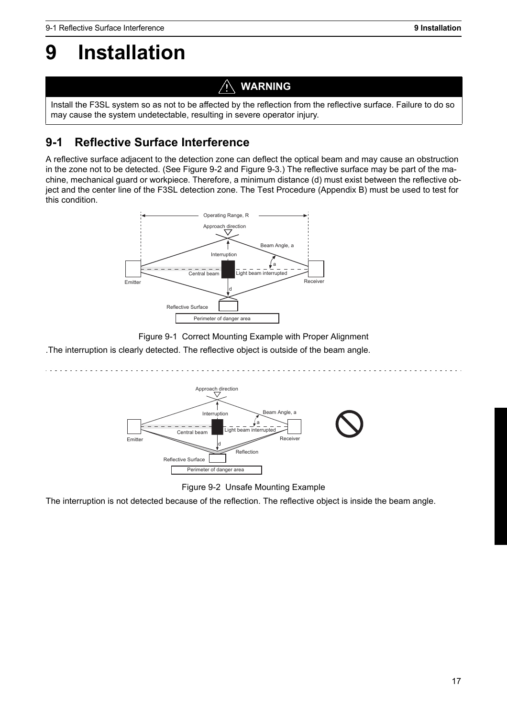# <span id="page-22-0"></span>**9 Installation**

## **WARNING**

Install the F3SL system so as not to be affected by the reflection from the reflective surface. Failure to do so may cause the system undetectable, resulting in severe operator injury.

# <span id="page-22-1"></span>**9-1 Reflective Surface Interference**

A reflective surface adjacent to the detection zone can deflect the optical beam and may cause an obstruction in the zone not to be detected. (See [Figure 9-2](#page-22-2) and [Figure 9-3](#page-23-0).) The reflective surface may be part of the machine, mechanical guard or workpiece. Therefore, a minimum distance (d) must exist between the reflective object and the center line of the F3SL detection zone. The Test Procedure [\(Appendix B\)](#page-33-0) must be used to test for this condition.



Figure 9-1 Correct Mounting Example with Proper Alignment

.The interruption is clearly detected. The reflective object is outside of the beam angle.



Figure 9-2 Unsafe Mounting Example

<span id="page-22-2"></span>The interruption is not detected because of the reflection. The reflective object is inside the beam angle.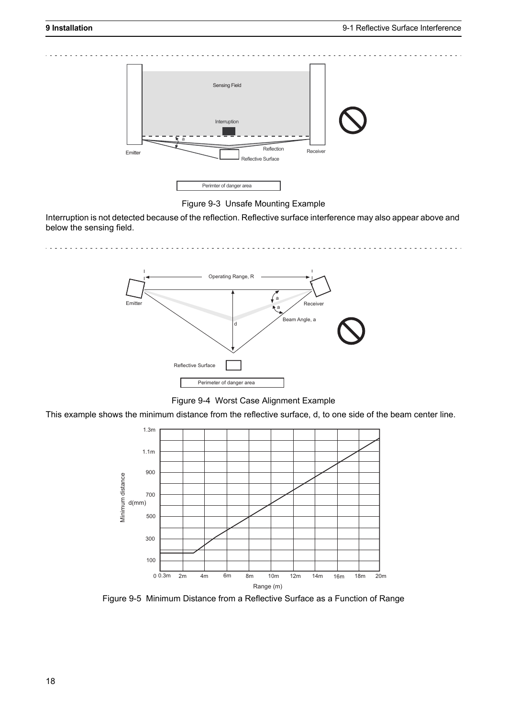

Figure 9-3 Unsafe Mounting Example

<span id="page-23-0"></span>Interruption is not detected because of the reflection. Reflective surface interference may also appear above and below the sensing field.

> Emitter Receiver Beam Angle, a Reflective Surface Operating Range, R a a Perimeter of danger area

Figure 9-4 Worst Case Alignment Example

This example shows the minimum distance from the reflective surface, d, to one side of the beam center line.



Figure 9-5 Minimum Distance from a Reflective Surface as a Function of Range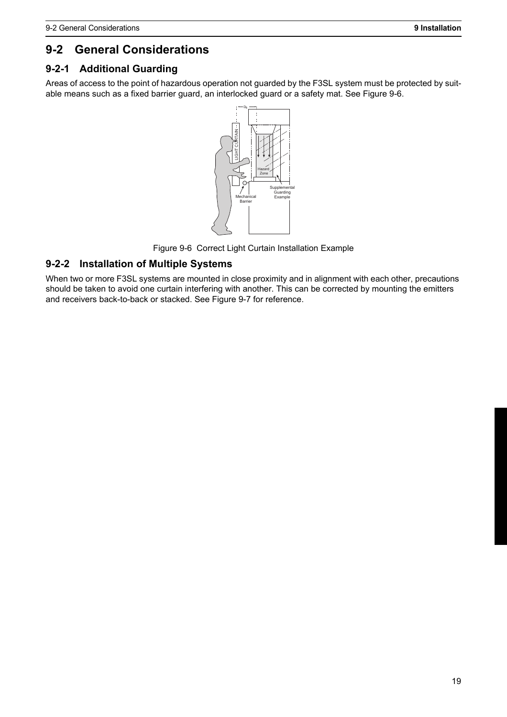# <span id="page-24-1"></span>**9-2 General Considerations**

#### <span id="page-24-3"></span><span id="page-24-0"></span>**9-2-1 Additional Guarding**

Areas of access to the point of hazardous operation not guarded by the F3SL system must be protected by suitable means such as a fixed barrier guard, an interlocked guard or a safety mat. See [Figure 9-6](#page-24-4).



Figure 9-6 Correct Light Curtain Installation Example

#### <span id="page-24-4"></span><span id="page-24-2"></span>**9-2-2 Installation of Multiple Systems**

When two or more F3SL systems are mounted in close proximity and in alignment with each other, precautions should be taken to avoid one curtain interfering with another. This can be corrected by mounting the emitters and receivers back-to-back or stacked. See [Figure 9-7](#page-25-3) for reference.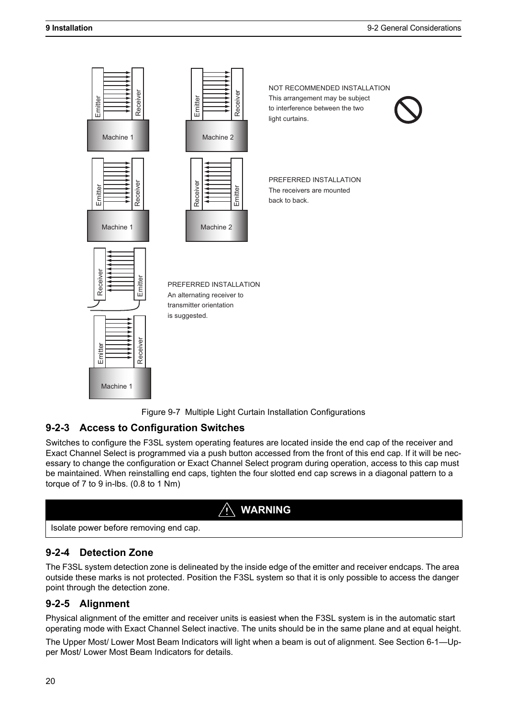



#### <span id="page-25-3"></span><span id="page-25-0"></span>**9-2-3 Access to Configuration Switches**

Switches to configure the F3SL system operating features are located inside the end cap of the receiver and Exact Channel Select is programmed via a push button accessed from the front of this end cap. If it will be necessary to change the configuration or Exact Channel Select program during operation, access to this cap must be maintained. When reinstalling end caps, tighten the four slotted end cap screws in a diagonal pattern to a torque of 7 to 9 in-lbs. (0.8 to 1 Nm)



<span id="page-25-1"></span>

#### **9-2-4 Detection Zone**

The F3SL system detection zone is delineated by the inside edge of the emitter and receiver endcaps. The area outside these marks is not protected. Position the F3SL system so that it is only possible to access the danger point through the detection zone.

#### <span id="page-25-2"></span>**9-2-5 Alignment**

Physical alignment of the emitter and receiver units is easiest when the F3SL system is in the automatic start operating mode with Exact Channel Select inactive. The units should be in the same plane and at equal height.

The Upper Most/ Lower Most Beam Indicators will light when a beam is out of alignment. See [Section 6-1—Up](#page-17-6)[per Most/ Lower Most Beam Indicators](#page-17-6) for details.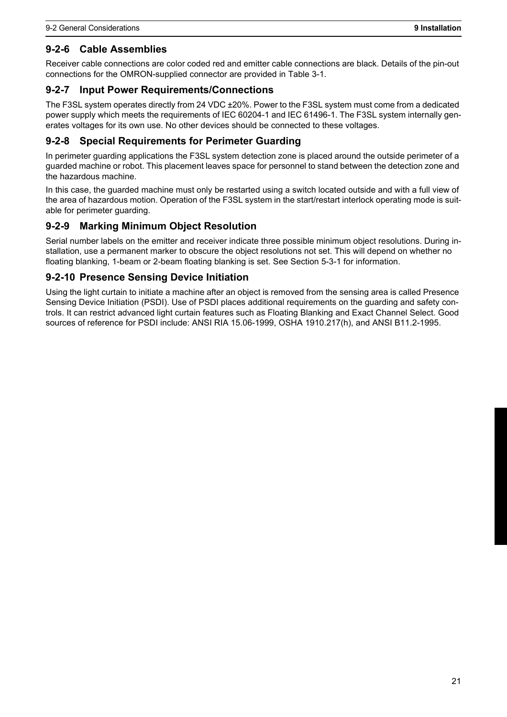#### <span id="page-26-0"></span>**9-2-6 Cable Assemblies**

Receiver cable connections are color coded red and emitter cable connections are black. Details of the pin-out connections for the OMRON-supplied connector are provided in [Table 3-1](#page-9-1).

#### <span id="page-26-1"></span>**9-2-7 Input Power Requirements/Connections**

The F3SL system operates directly from 24 VDC ±20%. Power to the F3SL system must come from a dedicated power supply which meets the requirements of IEC 60204-1 and IEC 61496-1. The F3SL system internally generates voltages for its own use. No other devices should be connected to these voltages.

#### <span id="page-26-2"></span>**9-2-8 Special Requirements for Perimeter Guarding**

In perimeter guarding applications the F3SL system detection zone is placed around the outside perimeter of a guarded machine or robot. This placement leaves space for personnel to stand between the detection zone and the hazardous machine.

In this case, the guarded machine must only be restarted using a switch located outside and with a full view of the area of hazardous motion. Operation of the F3SL system in the start/restart interlock operating mode is suitable for perimeter guarding.

#### <span id="page-26-3"></span>**9-2-9 Marking Minimum Object Resolution**

Serial number labels on the emitter and receiver indicate three possible minimum object resolutions. During installation, use a permanent marker to obscure the object resolutions not set. This will depend on whether no floating blanking, 1-beam or 2-beam floating blanking is set. See [Section 5-3-1](#page-15-3) for information.

#### <span id="page-26-4"></span>**9-2-10 Presence Sensing Device Initiation**

Using the light curtain to initiate a machine after an object is removed from the sensing area is called Presence Sensing Device Initiation (PSDI). Use of PSDI places additional requirements on the guarding and safety controls. It can restrict advanced light curtain features such as Floating Blanking and Exact Channel Select. Good sources of reference for PSDI include: ANSI RIA 15.06-1999, OSHA 1910.217(h), and ANSI B11.2-1995.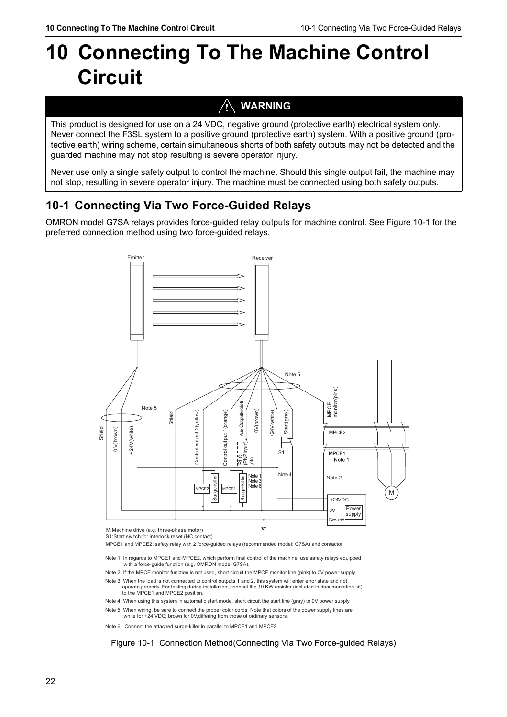# <span id="page-27-2"></span><span id="page-27-0"></span>**10 Connecting To The Machine Control Circuit**

# **WARNING**

This product is designed for use on a 24 VDC, negative ground (protective earth) electrical system only. Never connect the F3SL system to a positive ground (protective earth) system. With a positive ground (protective earth) wiring scheme, certain simultaneous shorts of both safety outputs may not be detected and the guarded machine may not stop resulting is severe operator injury.

Never use only a single safety output to control the machine. Should this single output fail, the machine may not stop, resulting in severe operator injury. The machine must be connected using both safety outputs.

# <span id="page-27-1"></span>**10-1 Connecting Via Two Force-Guided Relays**

OMRON model G7SA relays provides force-guided relay outputs for machine control. See [Figure 10-1](#page-27-3) for the preferred connection method using two force-guided relays.



M:Machine drive (e.g. three-phase motor)

S1:Start switch for interlock reset (NC contact)

- Note 1: In regards to MPCE1 and MPCE2, which perform final control of the machine, use safety relays equipped with a force-guide function (e.g. OMRON model G7SA).
- Note 2: If the MPCE monitor function is not used, short circuit the MPCE monitor line (pink) to 0V power supply.
- Note 3: When the load is not connected to control outputs 1 and 2, this system will enter error state and not operate properly. For testing during installation, connect the 10 KW resistor (included in documentation kit) to the MPCE1 and MPCE2 position.
- Note 4: When using this system in automatic start mode, short circuit the start line (gray) to 0V power supply.

Note 5: When wiring, be sure to connect the proper color cords. Note that colors of the power supply lines are white for +24 VDC; brown for 0V, differing from those of ordinary sensors.

<span id="page-27-3"></span>

Figure 10-1 Connection Method(Connecting Via Two Force-guided Relays)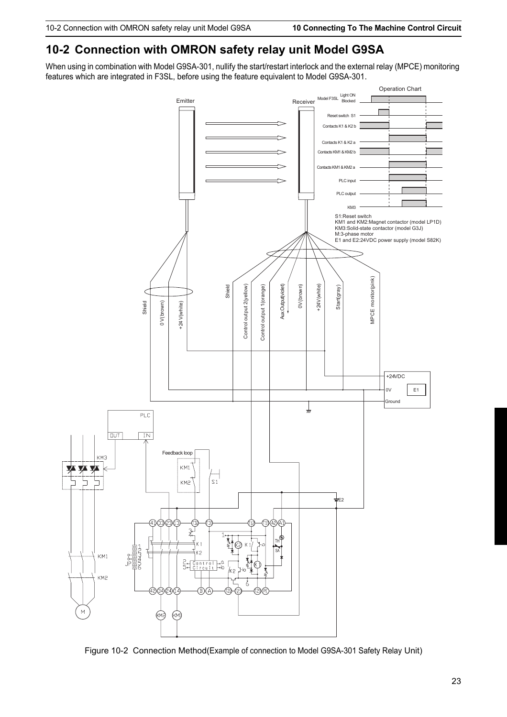## <span id="page-28-0"></span>**10-2 Connection with OMRON safety relay unit Model G9SA**

When using in combination with Model G9SA-301, nullify the start/restart interlock and the external relay (MPCE) monitoring features which are integrated in F3SL, before using the feature equivalent to Model G9SA-301.



Figure 10-2 Connection Method(Example of connection to Model G9SA-301 Safety Relay Unit)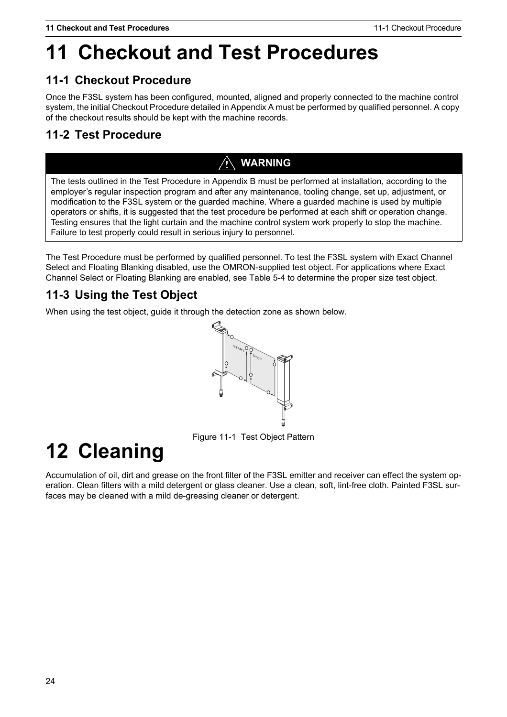# <span id="page-29-0"></span>**11 Checkout and Test Procedures**

# <span id="page-29-1"></span>**11-1 Checkout Procedure**

Once the F3SL system has been configured, mounted, aligned and properly connected to the machine control system, the initial Checkout Procedure detailed in [Appendix A](#page-32-0) must be performed by qualified personnel. A copy of the checkout results should be kept with the machine records.

# <span id="page-29-2"></span>**11-2 Test Procedure**

# **WARNING**

The tests outlined in the Test Procedure in Appendix B must be performed at installation, according to the employer's regular inspection program and after any maintenance, tooling change, set up, adjustment, or modification to the F3SL system or the guarded machine. Where a guarded machine is used by multiple operators or shifts, it is suggested that the test procedure be performed at each shift or operation change. Testing ensures that the light curtain and the machine control system work properly to stop the machine. Failure to test properly could result in serious injury to personnel.

The Test Procedure must be performed by qualified personnel. To test the F3SL system with Exact Channel Select and Floating Blanking disabled, use the OMRON-supplied test object. For applications where Exact Channel Select or Floating Blanking are enabled, see [Table 5-4](#page-15-2) to determine the proper size test object.

# <span id="page-29-3"></span>**11-3 Using the Test Object**

When using the test object, guide it through the detection zone as shown below.



Figure 11-1 Test Object Pattern

# <span id="page-29-4"></span>**12 Cleaning**

Accumulation of oil, dirt and grease on the front filter of the F3SL emitter and receiver can effect the system operation. Clean filters with a mild detergent or glass cleaner. Use a clean, soft, lint-free cloth. Painted F3SL surfaces may be cleaned with a mild de-greasing cleaner or detergent.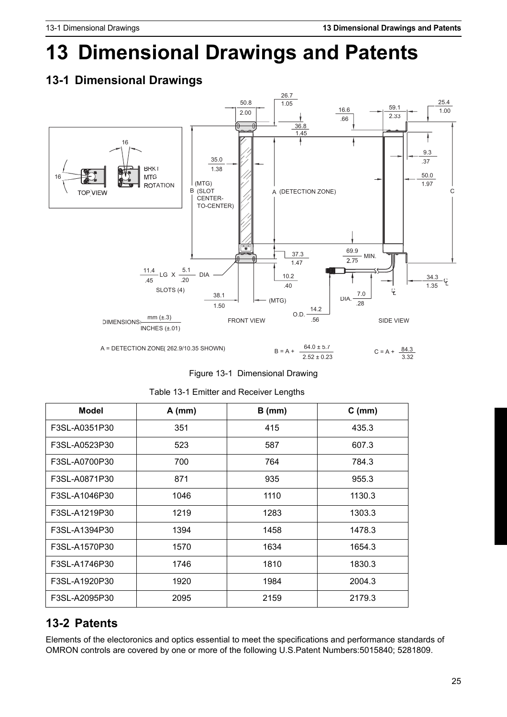# <span id="page-30-2"></span>**13 Dimensional Drawings and Patents**

# <span id="page-30-3"></span><span id="page-30-0"></span>**13-1 Dimensional Drawings**



Figure 13-1 Dimensional Drawing

|  |  | Table 13-1 Emitter and Receiver Lengths |  |
|--|--|-----------------------------------------|--|
|  |  |                                         |  |

| <b>Model</b>  | $A$ (mm) | $B$ (mm) | $C$ (mm) |
|---------------|----------|----------|----------|
| F3SL-A0351P30 | 351      | 415      | 435.3    |
| F3SL-A0523P30 | 523      | 587      | 607.3    |
| F3SL-A0700P30 | 700      | 764      | 784.3    |
| F3SL-A0871P30 | 871      | 935      | 955.3    |
| F3SL-A1046P30 | 1046     | 1110     | 1130.3   |
| F3SL-A1219P30 | 1219     | 1283     | 1303.3   |
| F3SL-A1394P30 | 1394     | 1458     | 1478.3   |
| F3SL-A1570P30 | 1570     | 1634     | 1654.3   |
| F3SL-A1746P30 | 1746     | 1810     | 1830.3   |
| F3SL-A1920P30 | 1920     | 1984     | 2004.3   |
| F3SL-A2095P30 | 2095     | 2159     | 2179.3   |

### <span id="page-30-4"></span><span id="page-30-1"></span>**13-2 Patents**

Elements of the electoronics and optics essential to meet the specifications and performance standards of OMRON controls are covered by one or more of the following U.S.Patent Numbers:5015840; 5281809.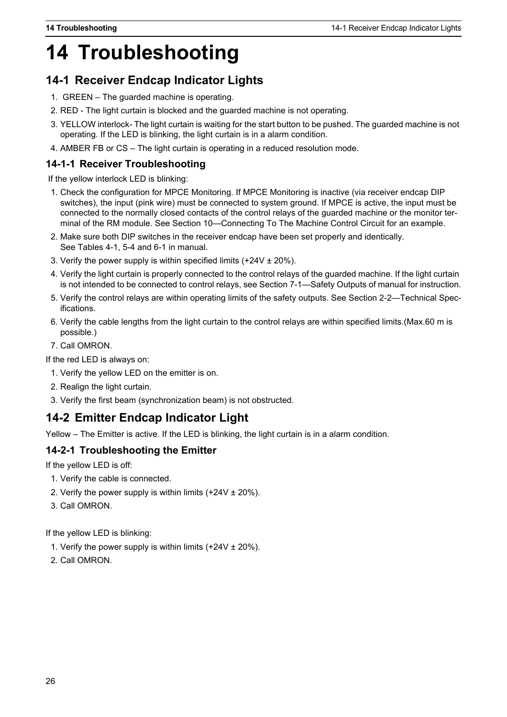# <span id="page-31-4"></span>**14 Troubleshooting**

# <span id="page-31-5"></span><span id="page-31-0"></span>**14-1 Receiver Endcap Indicator Lights**

- 1. GREEN The guarded machine is operating.
- 2. RED The light curtain is blocked and the guarded machine is not operating.
- 3. YELLOW interlock- The light curtain is waiting for the start button to be pushed. The guarded machine is not operating. If the LED is blinking, the light curtain is in a alarm condition.
- <span id="page-31-6"></span>4. AMBER FB or CS – The light curtain is operating in a reduced resolution mode.

#### <span id="page-31-1"></span>**14-1-1 Receiver Troubleshooting**

If the yellow interlock LED is blinking:

- 1. Check the configuration for MPCE Monitoring. If MPCE Monitoring is inactive (via receiver endcap DIP switches), the input (pink wire) must be connected to system ground. If MPCE is active, the input must be connected to the normally closed contacts of the control relays of the guarded machine or the monitor terminal of the RM module. See [Section 10—Connecting To The Machine Control Circuit](#page-27-0) for an example.
- 2. Make sure both DIP switches in the receiver endcap have been set properly and identically. See Tables 4-1, 5-4 and 6-1 in manual.
- 3. Verify the power supply is within specified limits  $(+24V \pm 20\%)$ .
- 4. Verify the light curtain is properly connected to the control relays of the guarded machine. If the light curtain is not intended to be connected to control relays, see [Section 7-1—Safety Outputs](#page-18-1) of manual for instruction.
- 5. Verify the control relays are within operating limits of the safety outputs. See [Section 2-2—Technical Spec](#page-7-4)[ifications.](#page-7-4)
- 6. Verify the cable lengths from the light curtain to the control relays are within specified limits.(Max.60 m is possible.)
- 7. Call OMRON.

If the red LED is always on:

- 1. Verify the yellow LED on the emitter is on.
- 2. Realign the light curtain.
- <span id="page-31-7"></span>3. Verify the first beam (synchronization beam) is not obstructed.

## <span id="page-31-2"></span>**14-2 Emitter Endcap Indicator Light**

<span id="page-31-8"></span>Yellow – The Emitter is active. If the LED is blinking, the light curtain is in a alarm condition.

#### <span id="page-31-3"></span>**14-2-1 Troubleshooting the Emitter**

If the yellow LED is off:

- 1. Verify the cable is connected.
- 2. Verify the power supply is within limits  $(+24V \pm 20\%)$ .
- 3. Call OMRON.

If the yellow LED is blinking:

- 1. Verify the power supply is within limits  $(+24V \pm 20\%)$ .
- 2. Call OMRON.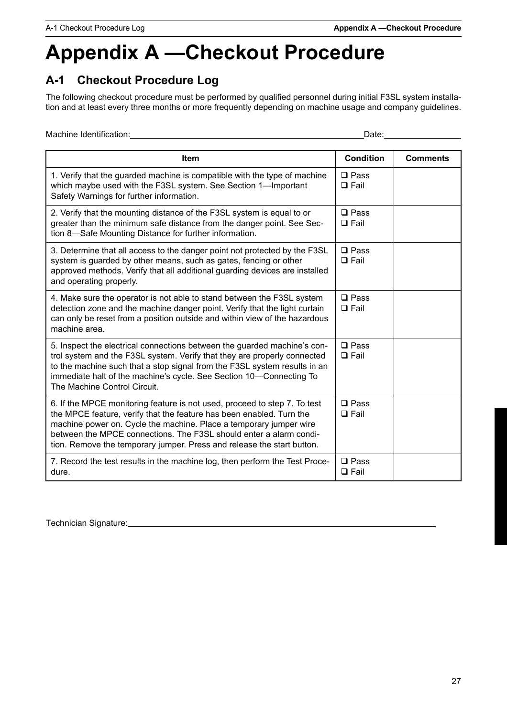# <span id="page-32-0"></span>**Appendix A —Checkout Procedure**

# <span id="page-32-1"></span>**A-1 Checkout Procedure Log**

The following checkout procedure must be performed by qualified personnel during initial F3SL system installation and at least every three months or more frequently depending on machine usage and company guidelines.

Machine Identification: Date: Date:

| <b>Item</b>                                                                                                                                                                                                                                                                                                                                                             | <b>Condition</b>              | <b>Comments</b> |
|-------------------------------------------------------------------------------------------------------------------------------------------------------------------------------------------------------------------------------------------------------------------------------------------------------------------------------------------------------------------------|-------------------------------|-----------------|
| 1. Verify that the guarded machine is compatible with the type of machine<br>which maybe used with the F3SL system. See Section 1-Important<br>Safety Warnings for further information.                                                                                                                                                                                 | $\square$ Pass<br>$\Box$ Fail |                 |
| 2. Verify that the mounting distance of the F3SL system is equal to or<br>greater than the minimum safe distance from the danger point. See Sec-<br>tion 8-Safe Mounting Distance for further information.                                                                                                                                                              | $\square$ Pass<br>$\Box$ Fail |                 |
| 3. Determine that all access to the danger point not protected by the F3SL<br>system is guarded by other means, such as gates, fencing or other<br>approved methods. Verify that all additional guarding devices are installed<br>and operating properly.                                                                                                               | $\Box$ Pass<br>$\Box$ Fail    |                 |
| 4. Make sure the operator is not able to stand between the F3SL system<br>detection zone and the machine danger point. Verify that the light curtain<br>can only be reset from a position outside and within view of the hazardous<br>machine area.                                                                                                                     | $\square$ Pass<br>$\Box$ Fail |                 |
| 5. Inspect the electrical connections between the guarded machine's con-<br>trol system and the F3SL system. Verify that they are properly connected<br>to the machine such that a stop signal from the F3SL system results in an<br>immediate halt of the machine's cycle. See Section 10-Connecting To<br>The Machine Control Circuit.                                | $\square$ Pass<br>$\Box$ Fail |                 |
| 6. If the MPCE monitoring feature is not used, proceed to step 7. To test<br>the MPCE feature, verify that the feature has been enabled. Turn the<br>machine power on. Cycle the machine. Place a temporary jumper wire<br>between the MPCE connections. The F3SL should enter a alarm condi-<br>tion. Remove the temporary jumper. Press and release the start button. | $\square$ Pass<br>$\Box$ Fail |                 |
| 7. Record the test results in the machine log, then perform the Test Proce-<br>dure.                                                                                                                                                                                                                                                                                    | $\square$ Pass<br>$\Box$ Fail |                 |

Technician Signature: